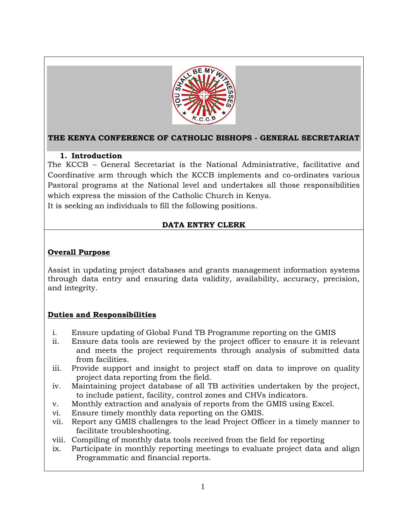

# **THE KENYA CONFERENCE OF CATHOLIC BISHOPS - GENERAL SECRETARIAT**

## **1. Introduction**

The KCCB – General Secretariat is the National Administrative, facilitative and Coordinative arm through which the KCCB implements and co-ordinates various Pastoral programs at the National level and undertakes all those responsibilities which express the mission of the Catholic Church in Kenya.

It is seeking an individuals to fill the following positions.

# **DATA ENTRY CLERK**

## **Overall Purpose**

Assist in updating project databases and grants management information systems through data entry and ensuring data validity, availability, accuracy, precision, and integrity.

## **Duties and Responsibilities**

- i. Ensure updating of Global Fund TB Programme reporting on the GMIS
- ii. Ensure data tools are reviewed by the project officer to ensure it is relevant and meets the project requirements through analysis of submitted data from facilities.
- iii. Provide support and insight to project staff on data to improve on quality project data reporting from the field.
- iv. Maintaining project database of all TB activities undertaken by the project, to include patient, facility, control zones and CHVs indicators.
- v. Monthly extraction and analysis of reports from the GMIS using Excel.
- vi. Ensure timely monthly data reporting on the GMIS.
- vii. Report any GMIS challenges to the lead Project Officer in a timely manner to facilitate troubleshooting.
- viii. Compiling of monthly data tools received from the field for reporting
- ix. Participate in monthly reporting meetings to evaluate project data and align Programmatic and financial reports.